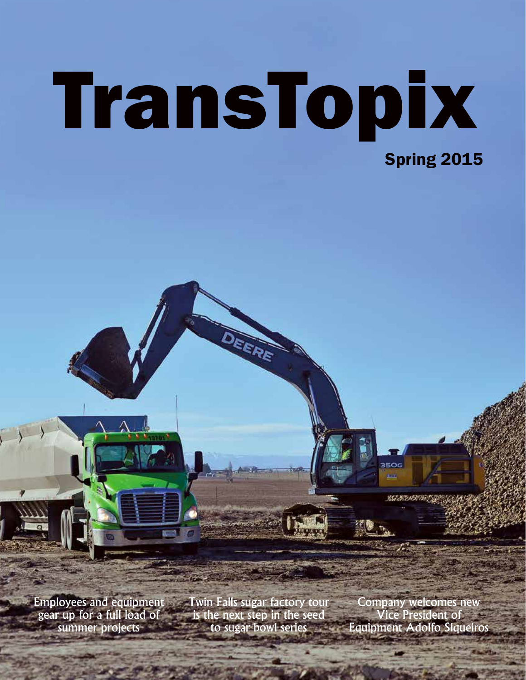# TransTopix Spring 2015

EERE

Employees and equipment gear up for a full load of summer projects

Twin Falls sugar factory tour is the next step in the seed to sugar bowl series

Company welcomes new Vice President of Equipment Adolfo Siqueiros

35OG

853826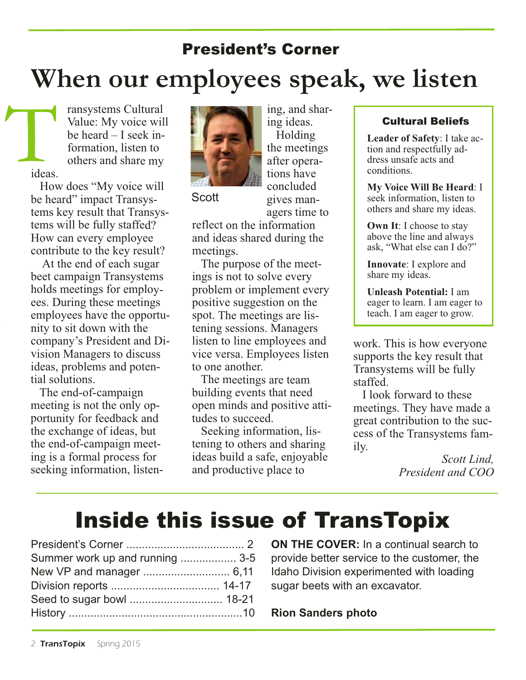# President's Corner **When our employees speak, we listen**

ransystems Cultural Value: My voice will be heard – I seek information, listen to others and share my ideas. T

> How does "My voice will be heard" impact Transystems key result that Transystems will be fully staffed? How can every employee contribute to the key result?

> At the end of each sugar beet campaign Transystems holds meetings for employees. During these meetings employees have the opportunity to sit down with the company's President and Division Managers to discuss ideas, problems and potential solutions.

The end-of-campaign meeting is not the only opportunity for feedback and the exchange of ideas, but the end-of-campaign meeting is <sup>a</sup> formal process for seeking information, listen-



**Scott** 

gives managers time to reflect on the information and ideas shared during the

ing ideas. Holding the meetings

tions have concluded

meetings. The purpose of the meetings is not to solve every problem or implement every positive suggestion on the spot. The meetings are listening sessions. Managers listen to line employees and vice versa. Employees listen to one another.

The meetings are team building events that need open minds and positive attitudes to succeed.

Seeking information, listening to others and sharing ideas build <sup>a</sup> safe, enjoyable and productive place to

#### Cultural Beliefs

**Leader of Safety**: I take action and respectfully address unsafe acts and conditions.

**My Voice Will Be Heard**: I seek information, listen to others and share my ideas.

**Own It:** I choose to stay above the line and always ask, "What else can I do?"

**Innovate**: I explore and share my ideas.

**Unleash Potential:** I am eager to learn. I am eager to teach. I am eager to grow.

work. This is how everyone supports the key result that Transystems will be fully staffed.

I look forward to these meetings. They have made <sup>a</sup> grea<sup>t</sup> contribution to the success of the Transystems family.

> *Scott Lind, President and COO*

# Inside this issue of TransTopix

| Summer work up and running  3-5 |  |
|---------------------------------|--|
|                                 |  |
|                                 |  |
|                                 |  |
|                                 |  |

**ON THE COVER:** In a continual search to provide better service to the customer, the Idaho Division experimented with loading sugar beets with an excavator.

#### **Rion Sanders photo**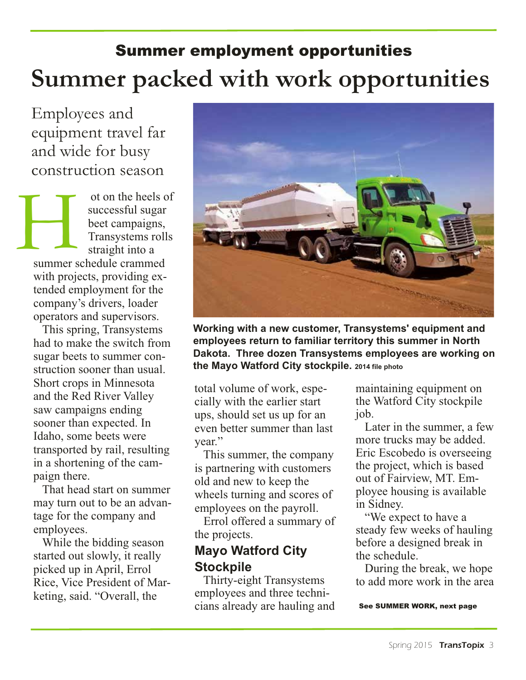# Summer employment opportunities **Summer packed with work opportunities**

Employees and equipment travel far and wide for busy construction season

ot on the heels of successful sugar beet campaigns, Transystems rolls straight into a summer schedule crammed with projects, providing extended employment for the company's drivers, loader operators and supervisors.  $\rm H$ 

> This spring, Transystems had to make the switch from sugar beets to summer construction sooner than usual. Short crops in Minnesota and the Red River Valley saw campaigns ending sooner than expected. In Idaho, some beets were transported by rail, resulting in a shortening of the campaign there.

> That head start on summer may turn out to be an advantage for the company and employees.

> While the bidding season started out slowly, it really picked up in April, Errol Rice, Vice President of Marketing, said. "Overall, the



**Working with a new customer, Transystems' equipment and employees return to familiar territory this summer in North Dakota. Three dozen Transystems employees are working on the Mayo Watford City stockpile. <sup>2014</sup> file photo**

total volume of work, especially with the earlier start ups, should set us up for an even better summer than last year."

This summer, the company is partnering with customers old and new to keep the wheels turning and scores of employees on the payroll.

Errol offered a summary of the projects.

#### **Mayo Watford City Stockpile**

Thirty-eight Transystems employees and three technicians already are hauling and

maintaining equipment on the Watford City stockpile job.

Later in the summer, a few more trucks may be added. Eric Escobedo is overseeing the project, which is based out of Fairview, MT. Employee housing is available in Sidney.

"We expect to have a steady few weeks of hauling before a designed break in the schedule.

During the break, we hope to add more work in the area

See SUMMER WORK, next page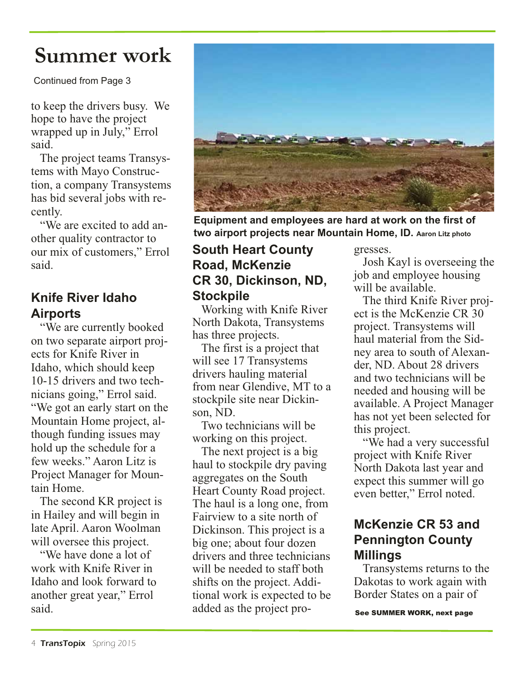### **Summer work**

Continued from Page 3

to keep the drivers busy. We hope to have the project wrapped up in July," Errol said.

The project teams Transystems with Mayo Construction, a company Transystems has bid several jobs with recently.

"We are excited to add another quality contractor to our mix of customers," Errol said.

### **Knife River Idaho Airports**

"We are currently booked on two separate airport projects for Knife River in Idaho, which should keep 10-15 drivers and two technicians going," Errol said. "We got an early start on the Mountain Home project, although funding issues may hold up the schedule for a few weeks." Aaron Litz is Project Manager for Mountain Home.

The second KR project is in Hailey and will begin in late April. Aaron Woolman will oversee this project.

"We have done a lot of work with Knife River in Idaho and look forward to another great year," Errol said.



**Equipment and employees are hard at work on the first of two airport projects near Mountain Home, ID. Aaron Litz photo**

#### **South Heart County Road, McKenzie CR 30, Dickinson, ND, Stockpile**

Working with Knife River North Dakota, Transystems has three projects.

The first is a project that will see 17 Transystems drivers hauling material from near Glendive, MT to a stockpile site near Dickinson, ND.

Two technicians will be working on this project.

The next project is a big haul to stockpile dry paving aggregates on the South Heart County Road project. The haul is a long one, from Fairview to a site north of Dickinson. This project is a big one; about four dozen drivers and three technicians will be needed to staff both shifts on the project. Additional work is expected to be added as the project progresses.

Josh Kayl is overseeing the job and employee housing will be available.

The third Knife River project is the McKenzie CR 30 project. Transystems will haul material from the Sidney area to south of Alexander, ND. About 28 drivers and two technicians will be needed and housing will be available. A Project Manager has not yet been selected for this project.

"We had a very successful project with Knife River North Dakota last year and expect this summer will go even better," Errol noted.

### **McKenzie CR 53 and Pennington County Millings**

Transystems returns to the Dakotas to work again with Border States on a pair of

See SUMMER WORK, next page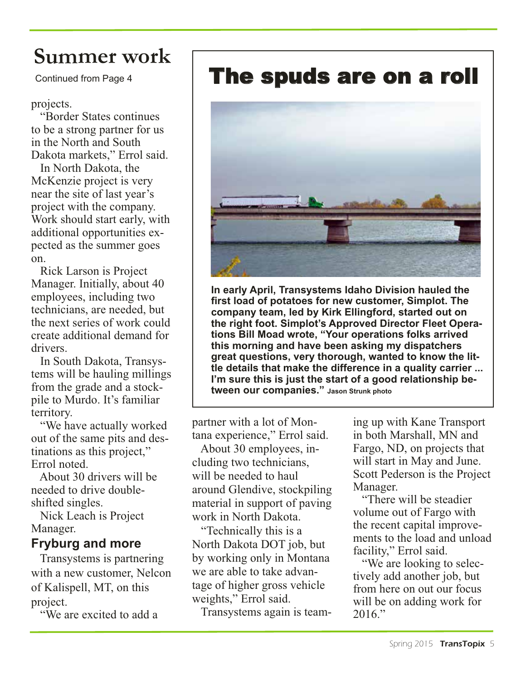### **Summer work**

projects.

"Border States continues to be a strong partner for us in the North and South Dakota markets," Errol said.

In North Dakota, the McKenzie project is very near the site of last year's project with the company. Work should start early, with additional opportunities expected as the summer goes on.

Rick Larson is Project Manager. Initially, about 40 employees, including two technicians, are needed, but the next series of work could create additional demand for drivers.

In South Dakota, Transystems will be hauling millings from the grade and a stockpile to Murdo. It's familiar territory.

"We have actually worked out of the same pits and destinations as this project," Errol noted.

About 30 drivers will be needed to drive doubleshifted singles.

Nick Leach is Project Manager.

#### **Fryburg and more**

Transystems is partnering with a new customer, Nelcon of Kalispell, MT, on this project.

"We are excited to add a

### Continued from Page 4 **The spuds are on a roll**



**In early April, Transystems Idaho Division hauled the first load of potatoes for new customer, Simplot. The company team, led by Kirk Ellingford, started out on the right foot. Simplot's Approved Director Fleet Operations Bill Moad wrote, "Your operations folks arrived this morning and have been asking my dispatchers great questions, very thorough, wanted to know the little details that make the difference in a quality carrier ... I'm sure this is just the start of a good relationship between our companies." Jason Strunk photo**

partner with a lot of Montana experience," Errol said.

About 30 employees, in-

cluding two technicians, will be needed to haul around Glendive, stockpiling material in support of paving work in North Dakota.

"Technically this is a North Dakota DOT job, but by working only in Montana we are able to take advantage of higher gross vehicle weights," Errol said.

Transystems again is team-

ing up with Kane Transport in both Marshall, MN and Fargo, ND, on projects that will start in May and June. Scott Pederson is the Project Manager.

"There will be steadier volume out of Fargo with the recent capital improvements to the load and unload facility," Errol said.

"We are looking to selectively add another job, but from here on out our focus will be on adding work for 2016."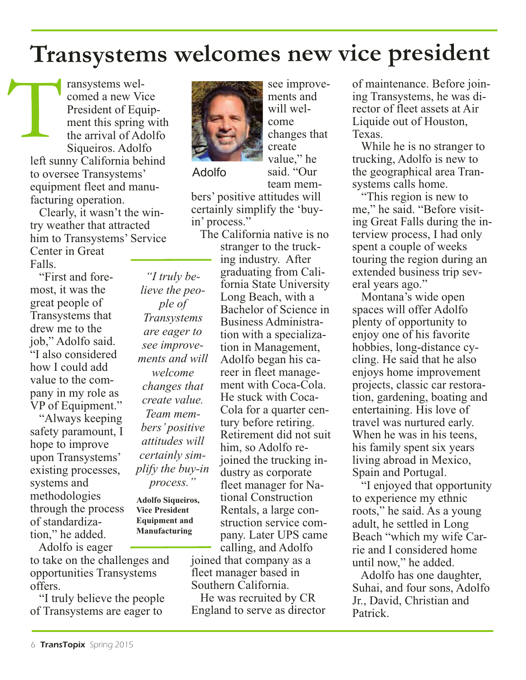### **Transystems welcomes new vice president**

ransystems welcomed a new Vice President of Equipment this spring with the arrival of Adolfo Siqueiros. Adolfo left sunny California behind to oversee Transystems' equipment fleet and manufacturing operation. T

Clearly, it wasn't the wintry weather that attracted him to Transystems' Service Center in Great Falls.

"First and foremost, it was the great people of Transystems that drew me to the job," Adolfo said. "I also considered how I could add value to the company in my role as VP of Equipment."

"Always keeping safety paramount, I hope to improve upon Transystems' existing processes, systems and methodologies through the process of standardization," he added.

Adolfo is eager to take on the challenges and opportunities Transystems offers.

"I truly believe the people of Transystems are eager to



Adolfo

*"I truly believe the people of Transystems are eager to see improvements and will welcome changes that create value. Team members' positive attitudes will certainly simplify the buy-in process."*

**Adolfo Siqueiros, Vice President Equipment and Manufacturing**

team members' positive attitudes will certainly simplify the 'buyin' process."

The California native is no stranger to the trucking industry. After graduating from California State University Long Beach, with a Bachelor of Science in Business Administration with a specialization in Management, Adolfo began his career in fleet management with Coca-Cola. He stuck with Coca-Cola for a quarter century before retiring. Retirement did not suit him, so Adolfo rejoined the trucking industry as corporate fleet manager for National Construction Rentals, a large construction service company. Later UPS came calling, and Adolfo

joined that company as a fleet manager based in Southern California.

He was recruited by CR England to serve as director of maintenance. Before joining Transystems, he was director of fleet assets at Air Liquide out of Houston, Texas.

While he is no stranger to trucking, Adolfo is new to the geographical area Transystems calls home.

"This region is new to me," he said. "Before visiting Great Falls during the interview process, I had only spent a couple of weeks touring the region during an extended business trip several years ago."

Montana's wide open spaces will offer Adolfo plenty of opportunity to enjoy one of his favorite hobbies, long-distance cycling. He said that he also enjoys home improvement projects, classic car restoration, gardening, boating and entertaining. His love of travel was nurtured early. When he was in his teens, his family spent six years living abroad in Mexico, Spain and Portugal.

"I enjoyed that opportunity to experience my ethnic roots," he said. As a young adult, he settled in Long Beach "which my wife Carrie and I considered home until now," he added.

Adolfo has one daughter, Suhai, and four sons, Adolfo Jr., David, Christian and Patrick.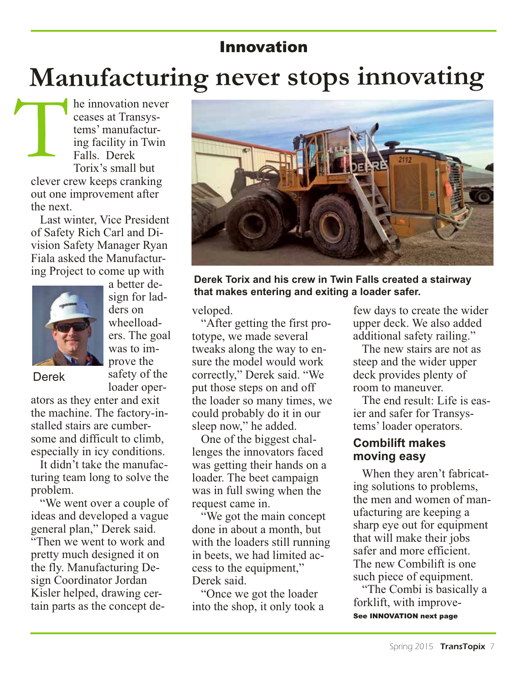### Innovation

# **Manufacturing never stops innovating**

he innovation never ceases at Transystems' manufacturing facility in Twin Falls. Derek Torix's small but clever crew keeps cranking out one improvement after the next. T

Last winter, Vice President of Safety Rich Carl and Division Safety Manager Ryan Fiala asked the Manufacturing Project to come up with



a better design for ladders on wheelloaders. The goal was to improve the safety of the loader oper-

#### Derek

ators as they enter and exit the machine. The factory-installed stairs are cumbersome and difficult to climb, especially in icy conditions.

It didn't take the manufacturing team long to solve the problem.

"We went over a couple of ideas and developed a vague general plan," Derek said. "Then we went to work and pretty much designed it on the fly. Manufacturing Design Coordinator Jordan Kisler helped, drawing certain parts as the concept de-



**Derek Torix and his crew in Twin Falls created a stairway that makes entering and exiting a loader safer.**

veloped.

"After getting the first prototype, we made several tweaks along the way to ensure the model would work correctly," Derek said. "We put those steps on and off the loader so many times, we could probably do it in our sleep now," he added.

One of the biggest challenges the innovators faced was getting their hands on a loader. The beet campaign was in full swing when the request came in.

"We got the main concept done in about a month, but with the loaders still running in beets, we had limited access to the equipment," Derek said.

"Once we got the loader into the shop, it only took a few days to create the wider upper deck. We also added additional safety railing."

The new stairs are not as steep and the wider upper deck provides plenty of room to maneuver.

The end result: Life is easier and safer for Transystems' loader operators.

#### **Combilift makes moving easy**

When they aren't fabricating solutions to problems, the men and women of manufacturing are keeping a sharp eye out for equipment that will make their jobs safer and more efficient. The new Combilift is one such piece of equipment.

"The Combi is basically a forklift, with improve-See INNOVATION next page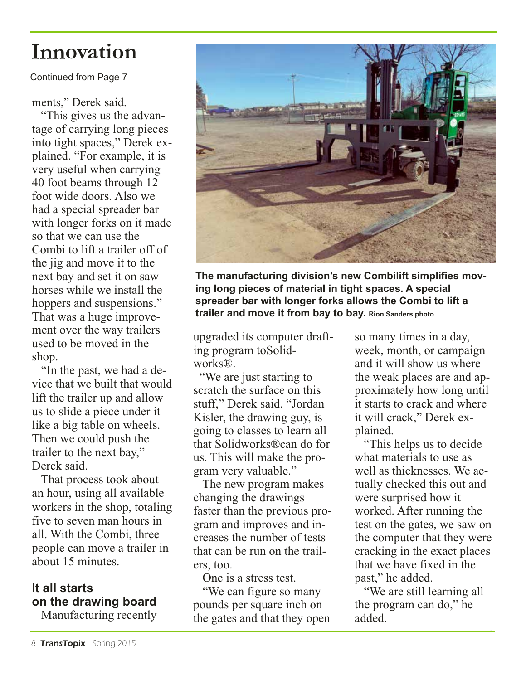### **Innovation**

Continued from Page 7

ments," Derek said.

"This gives us the advantage of carrying long pieces into tight spaces," Derek explained. "For example, it is very useful when carrying 40 foot beams through 12 foot wide doors. Also we had a special spreader bar with longer forks on it made so that we can use the Combi to lift a trailer off of the jig and move it to the next bay and set it on saw horses while we install the hoppers and suspensions." That was a huge improvement over the way trailers used to be moved in the shop.

"In the past, we had a device that we built that would lift the trailer up and allow us to slide a piece under it like a big table on wheels. Then we could push the trailer to the next bay," Derek said.

That process took about an hour, using all available workers in the shop, totaling five to seven man hours in all. With the Combi, three people can move a trailer in about 15 minutes.

### **It all starts on the drawing board**

Manufacturing recently



**The manufacturing division's new Combilift simplifies moving long pieces of material in tight spaces. A special spreader bar with longer forks allows the Combi to lift a trailer and move it from bay to bay. Rion Sanders photo**

upgraded its computer drafting program toSolidworks®.

 "We are just starting to scratch the surface on this stuff," Derek said. "Jordan Kisler, the drawing guy, is going to classes to learn all that Solidworks®can do for us. This will make the program very valuable."

The new program makes changing the drawings faster than the previous program and improves and increases the number of tests that can be run on the trailers, too.

One is a stress test. "We can figure so many pounds per square inch on the gates and that they open

so many times in a day, week, month, or campaign and it will show us where the weak places are and approximately how long until it starts to crack and where it will crack," Derek explained.

"This helps us to decide what materials to use as well as thicknesses. We actually checked this out and were surprised how it worked. After running the test on the gates, we saw on the computer that they were cracking in the exact places that we have fixed in the past," he added.

"We are still learning all the program can do," he added.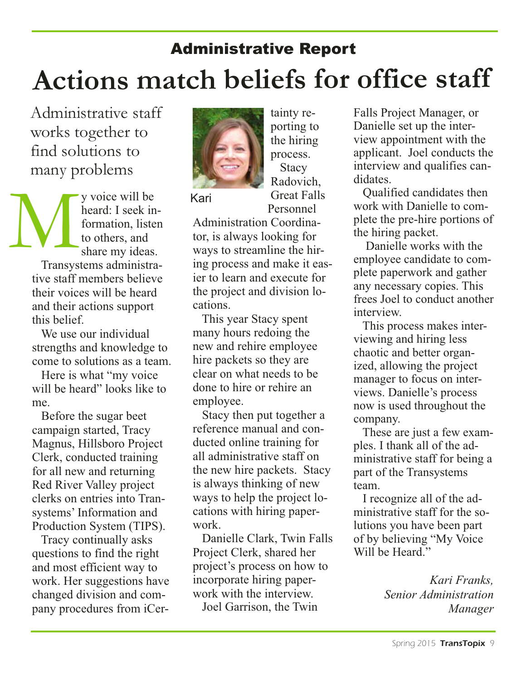# **Actions match beliefs for office staff**  Administrative Report

Administrative staff works together to find solutions to many problems

y voice will be heard: I seek information, listen to others, and share my ideas. Transystems administrative staff members believe their voices will be heard and their actions support this belief. M

We use our individual strengths and knowledge to come to solutions as a team.

Here is what "my voice will be heard" looks like to me.

Before the sugar beet campaign started, Tracy Magnus, Hillsboro Project Clerk, conducted training for all new and returning Red River Valley project clerks on entries into Transystems' Information and Production System (TIPS).

Tracy continually asks questions to find the right and most efficient way to work. Her suggestions have changed division and company procedures from iCer-



Kari

porting to the hiring process. **Stacy** Radovich, Great Falls Personnel

tainty re-

Administration Coordina-

tor, is always looking for ways to streamline the hiring process and make it easier to learn and execute for the project and division locations.

This year Stacy spent many hours redoing the new and rehire employee hire packets so they are clear on what needs to be done to hire or rehire an employee.

Stacy then put together a reference manual and conducted online training for all administrative staff on the new hire packets. Stacy is always thinking of new ways to help the project locations with hiring paperwork.

Danielle Clark, Twin Falls Project Clerk, shared her project's process on how to incorporate hiring paperwork with the interview.

Joel Garrison, the Twin

Falls Project Manager, or Danielle set up the interview appointment with the applicant. Joel conducts the interview and qualifies candidates.

Qualified candidates then work with Danielle to complete the pre-hire portions of the hiring packet.

Danielle works with the employee candidate to complete paperwork and gather any necessary copies. This frees Joel to conduct another interview.

This process makes interviewing and hiring less chaotic and better organized, allowing the project manager to focus on interviews. Danielle's process now is used throughout the company.

These are just a few examples. I thank all of the administrative staff for being a part of the Transystems team.

I recognize all of the administrative staff for the solutions you have been part of by believing "My Voice Will be Heard."

> *Kari Franks, Senior Administration Manager*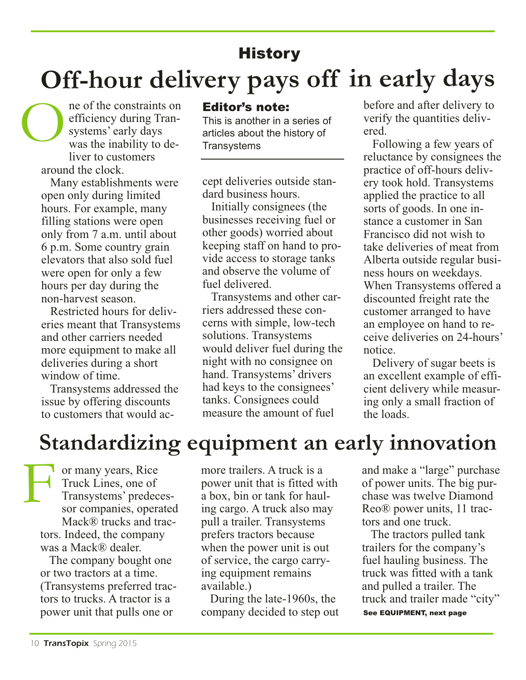### **History**

# **Off-hour delivery pays off in early days**

ne of the constraints on efficiency during Transystems' early days was the inability to deliver to customers around the clock. O

> Many establishments were open only during limited hours. For example, many filling stations were open only from 7 a.m. until about 6 p.m. Some country grain elevators that also sold fuel were open for only a few hours per day during the non-harvest season.

Restricted hours for deliveries meant that Transystems and other carriers needed more equipment to make all deliveries during a short window of time.

Transystems addressed the issue by offering discounts to customers that would ac-

#### Editor's note:

This is another in a series of articles about the history of **Transystems** 

cept deliveries outside standard business hours.

Initially consignees (the businesses receiving fuel or other goods) worried about keeping staff on hand to provide access to storage tanks and observe the volume of fuel delivered.

Transystems and other carriers addressed these concerns with simple, low-tech solutions. Transystems would deliver fuel during the night with no consignee on hand. Transystems' drivers had keys to the consignees' tanks. Consignees could measure the amount of fuel

before and after delivery to verify the quantities delivered.

Following a few years of reluctance by consignees the practice of off-hours delivery took hold. Transystems applied the practice to all sorts of goods. In one instance a customer in San Francisco did not wish to take deliveries of meat from Alberta outside regular business hours on weekdays. When Transystems offered a discounted freight rate the customer arranged to have an employee on hand to receive deliveries on 24-hours' notice.

Delivery of sugar beets is an excellent example of efficient delivery while measuring only a small fraction of the loads.

### **Standardizing equipment an early innovation**

or many years, Rice Truck Lines, one of Transystems' predecessor companies, operated Mack<sup>®</sup> trucks and tractors. Indeed, the company was a Mack® dealer. F

> The company bought one or two tractors at a time. (Transystems preferred tractors to trucks. A tractor is a power unit that pulls one or

more trailers. A truck is a power unit that is fitted with a box, bin or tank for hauling cargo. A truck also may pull a trailer. Transystems prefers tractors because when the power unit is out of service, the cargo carrying equipment remains available.)

During the late-1960s, the company decided to step out and make a "large" purchase of power units. The big purchase was twelve Diamond Reo® power units, 11 tractors and one truck.

The tractors pulled tank trailers for the company's fuel hauling business. The truck was fitted with a tank and pulled a trailer. The truck and trailer made "city" See EQUIPMENT, next page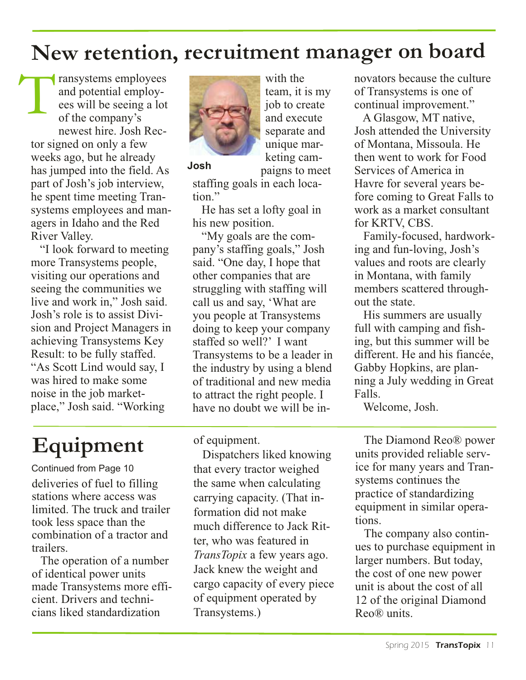### **New retention, recruitment manager on board**

ransystems employees and potential employees will be seeing a lot of the company's newest hire. Josh Rector signed on only a few weeks ago, but he already has jumped into the field. As part of Josh's job interview, he spent time meeting Transystems employees and managers in Idaho and the Red River Valley. T

"I look forward to meeting more Transystems people, visiting our operations and seeing the communities we live and work in," Josh said. Josh's role is to assist Division and Project Managers in achieving Transystems Key Result: to be fully staffed. "As Scott Lind would say, I was hired to make some noise in the job marketplace," Josh said. "Working



with the team, it is my job to create and execute separate and unique marketing cam-

**Josh**

paigns to meet

staffing goals in each location."

He has set a lofty goal in his new position.

"My goals are the company's staffing goals," Josh said. "One day, I hope that other companies that are struggling with staffing will call us and say, 'What are you people at Transystems doing to keep your company staffed so well?' I want Transystems to be a leader in the industry by using a blend of traditional and new media to attract the right people. I have no doubt we will be in-

# **Equipment**

deliveries of fuel to filling stations where access was limited. The truck and trailer took less space than the combination of a tractor and trailers. Continued from Page 10

The operation of a number of identical power units made Transystems more efficient. Drivers and technicians liked standardization

of equipment.

Dispatchers liked knowing that every tractor weighed the same when calculating carrying capacity. (That information did not make much difference to Jack Ritter, who was featured in *TransTopix* a few years ago. Jack knew the weight and cargo capacity of every piece of equipment operated by Transystems.)

novators because the culture of Transystems is one of continual improvement."

A Glasgow, MT native, Josh attended the University of Montana, Missoula. He then went to work for Food Services of America in Havre for several years before coming to Great Falls to work as a market consultant for KRTV, CBS.

Family-focused, hardworking and fun-loving, Josh's values and roots are clearly in Montana, with family members scattered throughout the state.

His summers are usually full with camping and fishing, but this summer will be different. He and his fiancée, Gabby Hopkins, are planning a July wedding in Great Falls.

Welcome, Josh.

The Diamond Reo® power units provided reliable service for many years and Transystems continues the practice of standardizing equipment in similar operations.

The company also continues to purchase equipment in larger numbers. But today, the cost of one new power unit is about the cost of all 12 of the original Diamond Reo® units.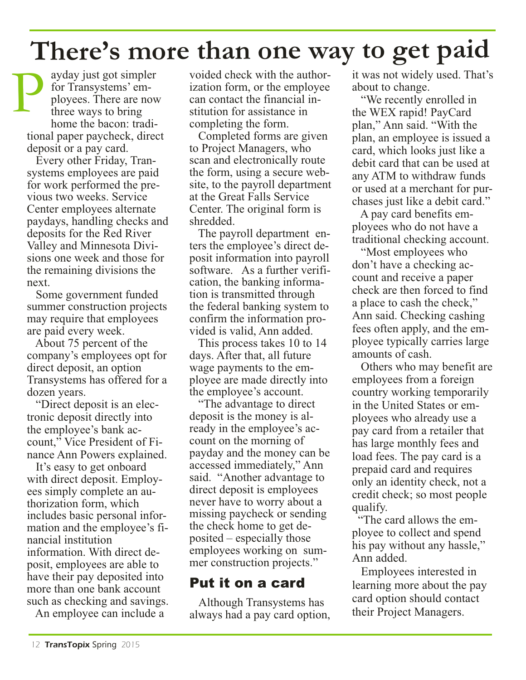# **There's more than one way to ge<sup>t</sup> paid**

ayday just got simpler for Transystems' employees. There are now three ways to bring home the bacon: traditional paper paycheck, direct deposit or a pay card. P

Every other Friday, Transystems employees are paid for work performed the previous two weeks. Service Center employees alternate paydays, handling checks and deposits for the Red River Valley and Minnesota Divisions one week and those for the remaining divisions the next.

Some government funded summer construction projects may require that employees are paid every week.

About 75 percent of the company's employees opt for direct deposit, an option Transystems has offered for a dozen years.

"Direct deposit is an electronic deposit directly into the employee's bank account," Vice President of Finance Ann Powers explained.

It's easy to get onboard with direct deposit. Employees simply complete an authorization form, which includes basic personal information and the employee's financial institution information. With direct deposit, employees are able to have their pay deposited into more than one bank account such as checking and savings.

An employee can include a

voided check with the authorization form, or the employee can contact the financial institution for assistance in completing the form.

Completed forms are given to Project Managers, who scan and electronically route the form, using a secure website, to the payroll department at the Great Falls Service Center. The original form is shredded.

The payroll department enters the employee's direct deposit information into payroll software. As a further verification, the banking information is transmitted through the federal banking system to confirm the information provided is valid, Ann added.

This process takes 10 to 14 days. After that, all future wage payments to the employee are made directly into the employee's account.

"The advantage to direct deposit is the money is already in the employee's account on the morning of payday and the money can be accessed immediately," Ann said. "Another advantage to direct deposit is employees never have to worry about a missing paycheck or sending the check home to get deposited – especially those employees working on summer construction projects."

### Put it on a card

Although Transystems has always had a pay card option, it was not widely used. That's about to change.

"We recently enrolled in the WEX rapid! PayCard plan," Ann said. "With the plan, an employee is issued a card, which looks just like a debit card that can be used at any ATM to withdraw funds or used at a merchant for purchases just like a debit card."

A pay card benefits employees who do not have a traditional checking account.

"Most employees who don't have a checking account and receive a paper check are then forced to find a place to cash the check," Ann said. Checking cashing fees often apply, and the employee typically carries large amounts of cash.

Others who may benefit are employees from a foreign country working temporarily in the United States or employees who already use a pay card from a retailer that has large monthly fees and load fees. The pay card is a prepaid card and requires only an identity check, not a credit check; so most people qualify.

"The card allows the employee to collect and spend his pay without any hassle," Ann added.

Employees interested in learning more about the pay card option should contact their Project Managers.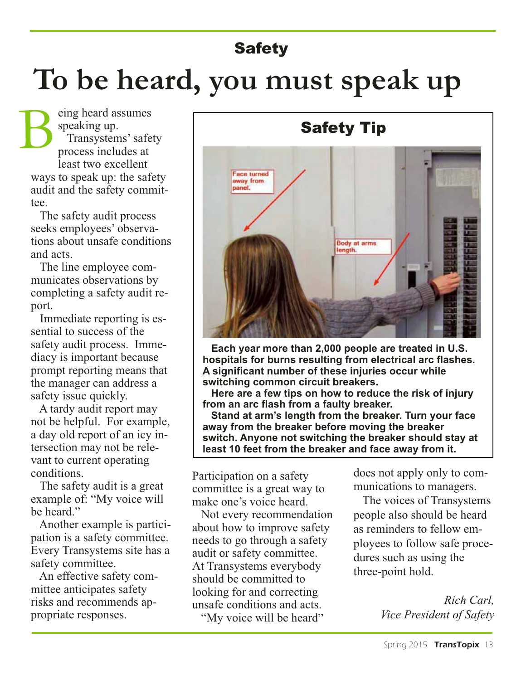### **Safety**

# **To be heard, you must speak up**

eing heard assumes speaking up. Transystems'safety process includes at least two excellent ways to speak up: the safety audit and the safety committee. B

The safety audit process seeks employees' observations about unsafe conditions and acts.

The line employee communicates observations by completing a safety audit report.

Immediate reporting is essential to success of the safety audit process. Immediacy is important because prompt reporting means that the manager can address a safety issue quickly.

A tardy audit report may not be helpful. For example, a day old report of an icy intersection may not be relevant to current operating conditions.

The safety audit is a great example of: "My voice will be heard."

Another example is participation is a safety committee. Every Transystems site has a safety committee.

An effective safety committee anticipates safety risks and recommends appropriate responses.



 **Each year more than 2,000 people are treated in U.S. hospitals for burns resulting from electrical arc flashes. A significant number of these injuries occur while switching common circuit breakers.**

**Here are a few tips on how to reduce the risk of injury from an arc flash from a faulty breaker.**

**Stand at arm's length from the breaker. Turn your face away from the breaker before moving the breaker switch. Anyone not switching the breaker should stay at least 10 feet from the breaker and face away from it.**

Participation on a safety committee is a great way to make one's voice heard.

Not every recommendation about how to improve safety needs to go through a safety audit or safety committee. At Transystems everybody should be committed to looking for and correcting unsafe conditions and acts.

"My voice will be heard"

does not apply only to communications to managers.

The voices of Transystems people also should be heard as reminders to fellow employees to follow safe procedures such as using the three-point hold.

> *Rich Carl, Vice President of Safety*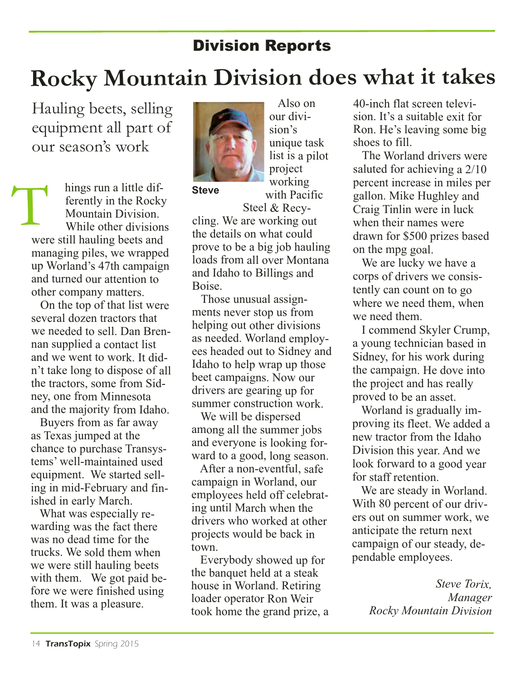### Division Reports

# **Rocky Mountain Division does what it takes**

Hauling beets, selling equipment all part of our season's work

hings run <sup>a</sup> little differently in the Rocky Mountain Division. While other divisions were still hauling beets and managing piles, we wrapped up Worland's 47th campaign and turned our attention to other company matters. hings run a little dit-<br>ferently in the Rocky<br>Mountain Division.<br>National priori

On the top of that list were several dozen tractors that we needed to sell. Dan Brennan supplied <sup>a</sup> contact list and we went to work. It did<sup>n</sup>'t take long to dispose of all the tractors, some from Sidney, one from Minnesota and the majority from Idaho.

Buyers from as far away as Texas jumped at the chance to purchase Transystems' well-maintained used equipment. We started selling in mid-February and finished in early March.

What was especially rewarding was the fact there was no dead time for the trucks. We sold them when we were still hauling beets with them. We got paid before we were finished using them. It was <sup>a</sup> pleasure.



Also on our division's unique task list is <sup>a</sup> pilot project working with Pacific Steel & Recy-

cling. We are working out the details on what could prove to be <sup>a</sup> big job hauling loads from all over Montana and Idaho to Billings and Boise.

Those unusual assignments never stop us from helping out other divisions as needed. Worland employees headed out to Sidney and Idaho to help wrap up those beet campaigns. Now our drivers are gearing up for summer construction work.

We will be dispersed among all the summer jobs and everyone is looking forward to <sup>a</sup> good, long season.

After <sup>a</sup> non-eventful, safe campaign in Worland, our employees held off celebrating until March when the drivers who worked at other projects would be back in town.

Everybody showed up for the banquet held at <sup>a</sup> steak house in Worland. Retiring loader operator Ron Weir took home the grand prize, <sup>a</sup> 40-inch flat screen television. It's <sup>a</sup> suitable exit for Ron. He's leaving some big shoes to fill.

The Worland drivers were saluted for achieving <sup>a</sup> 2/10 percent increase in miles per gallon. Mike Hughley and Craig Tinlin were in luck when their names were drawn for \$500 prizes based on the mpg goal.

We are lucky we have <sup>a</sup> corps of drivers we consistently can count on to go where we need them, when we need them.

I commend Skyler Crump, <sup>a</sup> young technician based in Sidney, for his work during the campaign. He dove into the project and has really proved to be an asset.

Worland is gradually improving its fleet. We added <sup>a</sup> new tractor from the Idaho Division this year. And we look forward to <sup>a</sup> good year for staff retention.

We are steady in Worland. With 80 percent of our drivers out on summer work, we anticipate the return next campaign of our steady, dependable employees.

> *Steve Torix, Manager Rocky Mountain Division*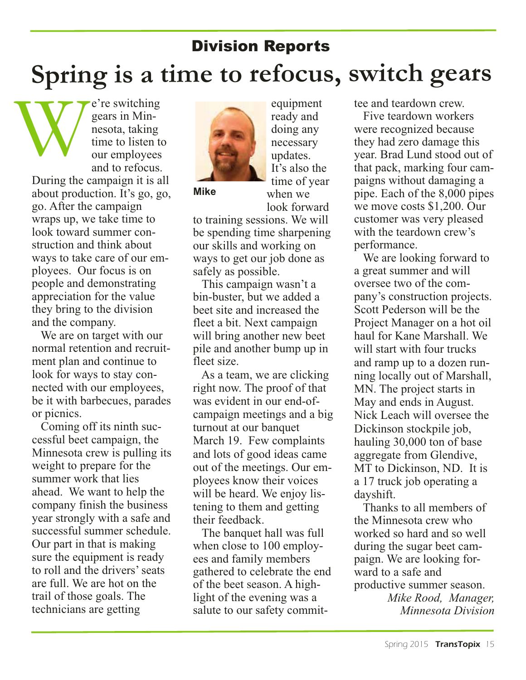# Division Reports **Spring is <sup>a</sup> time to refocus, switch gears**

e're switching gears in Minnesota, taking time to listen to our employees and to refocus. During the campaign it is all about production. It's go, go, go. After the campaign wraps up, we take time to W

look toward summer construction and think about ways to take care of our employees. Our focus is on people and demonstrating appreciation for the value they bring to the division and the company.

We are on target with our normal retention and recruitment plan and continue to look for ways to stay connected with our employees, be it with barbecues, parades or picnics.

Coming off its ninth successful beet campaign, the Minnesota crew is pulling its weight to prepare for the summer work that lies ahead. We want to help the company finish the business year strongly with a safe and successful summer schedule. Our part in that is making sure the equipment is ready to roll and the drivers'seats are full. We are hot on the trail of those goals. The technicians are getting



**Mike**

necessary updates. It's also the time of year when we look forward to training sessions. We will be spending time sharpening

equipment ready and doing any

our skills and working on ways to get our job done as safely as possible.

This campaign wasn't a bin-buster, but we added a beet site and increased the fleet a bit. Next campaign will bring another new beet pile and another bump up in fleet size.

As a team, we are clicking right now. The proof of that was evident in our end-ofcampaign meetings and a big turnout at our banquet March 19. Few complaints and lots of good ideas came out of the meetings. Our employees know their voices will be heard. We enjoy listening to them and getting their feedback.

The banquet hall was full when close to 100 employees and family members gathered to celebrate the end of the beet season. A highlight of the evening was a salute to our safety committee and teardown crew.

Five teardown workers were recognized because they had zero damage this year. Brad Lund stood out of that pack, marking four campaigns without damaging a pipe. Each of the 8,000 pipes we move costs \$1,200. Our customer was very pleased with the teardown crew's performance.

We are looking forward to a great summer and will oversee two of the company's construction projects. Scott Pederson will be the Project Manager on a hot oil haul for Kane Marshall. We will start with four trucks and ramp up to a dozen running locally out of Marshall, MN. The project starts in May and ends in August. Nick Leach will oversee the Dickinson stockpile job, hauling 30,000 ton of base aggregate from Glendive, MT to Dickinson, ND. It is a 17 truck job operating a dayshift.

Thanks to all members of the Minnesota crew who worked so hard and so well during the sugar beet campaign. We are looking forward to a safe and productive summer season.

*Mike Rood, Manager, Minnesota Division*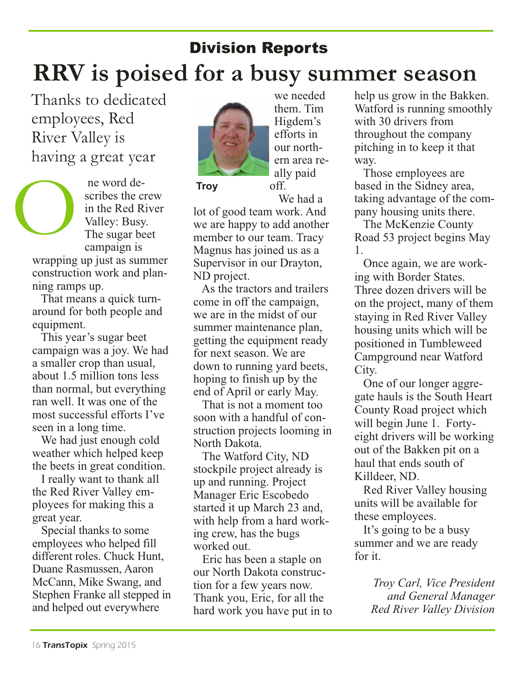### **RRV is poised for a busy summer season** Division Reports

Thanks to dedicated employees, Red River Valley is having a great year

ne word describes the crew in the Red River Valley: Busy. The sugar beet campaign is O

wrapping up just as summer construction work and planning ramps up.

That means a quick turnaround for both people and equipment.

This year's sugar beet campaign was a joy. We had a smaller crop than usual, about 1.5 million tons less than normal, but everything ran well. It was one of the most successful efforts I've seen in a long time.

We had just enough cold weather which helped keep the beets in great condition.

I really want to thank all the Red River Valley employees for making this a great year.

Special thanks to some employees who helped fill different roles. Chuck Hunt, Duane Rasmussen, Aaron McCann, Mike Swang, and Stephen Franke all stepped in and helped out everywhere



we needed them. Tim Higdem's efforts in our northern area really paid off. We had a

lot of good team work. And we are happy to add another member to our team. Tracy Magnus has joined us as a Supervisor in our Drayton, ND project.

As the tractors and trailers come in off the campaign, we are in the midst of our summer maintenance plan, getting the equipment ready for next season. We are down to running yard beets, hoping to finish up by the end of April or early May.

That is not a moment too soon with a handful of construction projects looming in North Dakota.

The Watford City, ND stockpile project already is up and running. Project Manager Eric Escobedo started it up March 23 and, with help from a hard working crew, has the bugs worked out.

Eric has been a staple on our North Dakota construction for a few years now. Thank you, Eric, for all the hard work you have put in to help us grow in the Bakken. Watford is running smoothly with 30 drivers from throughout the company pitching in to keep it that way.

Those employees are based in the Sidney area, taking advantage of the company housing units there. Troy off. based in the Sidney area,<br>We had a taking advantage of the com-<br>ot of good team work. And<br>we are happy to add another The McKenzie County<br>nember to our team Tracy Road 53 project begins May

The McKenzie County Road 53 project begins May 1.

Once again, we are working with Border States. Three dozen drivers will be on the project, many of them staying in Red River Valley housing units which will be positioned in Tumbleweed Campground near Watford City.

One of our longer aggregate hauls is the South Heart County Road project which will begin June 1. Fortyeight drivers will be working out of the Bakken pit on a haul that ends south of Killdeer, ND.

Red River Valley housing units will be available for these employees.

It's going to be a busy summer and we are ready for it.

> *Troy Carl, Vice President and General Manager Red River Valley Division*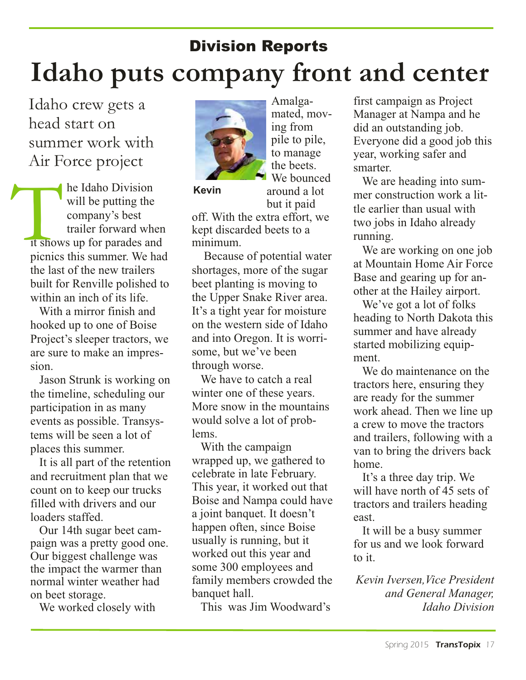# Division Reports **Idaho puts company front and center**

Idaho crew gets a head start on summer work with Air Force project

he Idaho Division will be putting the company's best trailer forward when it shows up for parades and picnics this summer. We had the last of the new trailers built for Renville polished to within an inch of its life. **Example 18 The Idaho Division**<br>
will be putting the<br>
company's best off. W<br>
trailer forward when kept d

With a mirror finish and hooked up to one of Boise Project's sleeper tractors, we are sure to make an impression.

Jason Strunk is working on the timeline, scheduling our participation in as many events as possible. Transystems will be seen a lot of places this summer.

It is all part of the retention and recruitment plan that we count on to keep our trucks filled with drivers and our loaders staffed.

Our 14th sugar beet campaign was a pretty good one. Our biggest challenge was the impact the warmer than normal winter weather had on beet storage.

We worked closely with



Amalgamated, moving from pile to pile, to manage the beets. We bounced around a lot but it paid

off. With the extra effort, we kept discarded beets to a minimum.

Because of potential water shortages, more of the sugar beet planting is moving to the Upper Snake River area. It's a tight year for moisture on the western side of Idaho and into Oregon. It is worrisome, but we've been through worse.

We have to catch a real winter one of these years. More snow in the mountains would solve a lot of problems.

With the campaign wrapped up, we gathered to celebrate in late February. This year, it worked out that Boise and Nampa could have a joint banquet. It doesn't happen often, since Boise usually is running, but it worked out this year and some 300 employees and family members crowded the banquet hall.

This was Jim Woodward's

first campaign as Project Manager at Nampa and he did an outstanding job. Everyone did a good job this year, working safer and smarter.

We are heading into summer construction work a little earlier than usual with two jobs in Idaho already running.

We are working on one job at Mountain Home Air Force Base and gearing up for another at the Hailey airport.

We've got a lot of folks heading to North Dakota this summer and have already started mobilizing equipment.

We do maintenance on the tractors here, ensuring they are ready for the summer work ahead. Then we line up a crew to move the tractors and trailers, following with a van to bring the drivers back home.

It's a three day trip. We will have north of 45 sets of tractors and trailers heading east.

It will be a busy summer for us and we look forward to it.

*Kevin Iversen,Vice President and General Manager, Idaho Division*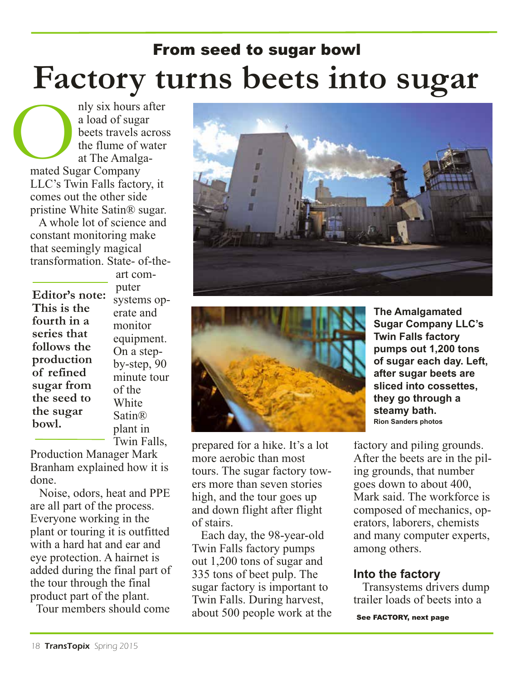# **Factory turns beets into sugar** From seed to sugar bowl

nly six hours after a load of sugar beets travels across the flume of water at The Amalgamated Sugar Company LLC's Twin Falls factory, it comes out the other side pristine White Satin® sugar. **O**<br>mated Su

A whole lot of science and constant monitoring make that seemingly magical transformation. State- of-the-

**Editor's note: This is the fourth in a series that follows the production of refined sugar from the seed to the sugar bowl.**

art computer systems operate and monitor equipment. On a stepby-step, 90 minute tour of the **White** Satin® plant in Twin Falls,

Production Manager Mark Branham explained how it is done.

Noise, odors, heat and PPE are all part of the process. Everyone working in the plant or touring it is outfitted with a hard hat and ear and eye protection. A hairnet is added during the final part of the tour through the final product part of the plant.

Tour members should come





prepared for a hike. It's a lot more aerobic than most tours. The sugar factory towers more than seven stories high, and the tour goes up and down flight after flight of stairs.

Each day, the 98-year-old Twin Falls factory pumps out 1,200 tons of sugar and 335 tons of beet pulp. The sugar factory is important to Twin Falls. During harvest, about 500 people work at the

**The Amalgamated Sugar Company LLC's Twin Falls factory pumps out 1,200 tons of sugar each day. Left, after sugar beets are sliced into cossettes, they go through a steamy bath. Rion Sanders photos**

factory and piling grounds. After the beets are in the piling grounds, that number goes down to about 400, Mark said. The workforce is composed of mechanics, operators, laborers, chemists and many computer experts, among others.

#### **Into the factory**

Transystems drivers dump trailer loads of beets into a

See FACTORY, next page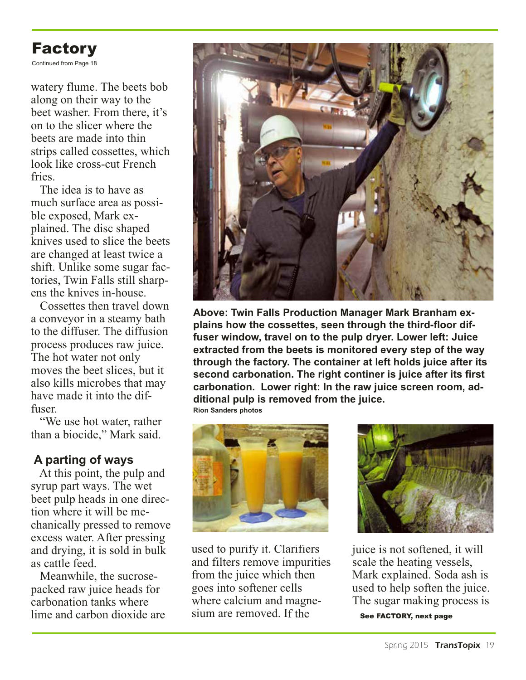

Continued from Page 18

watery flume. The beets bob along on their way to the beet washer. From there, it's on to the slicer where the beets are made into thin strips called cossettes, which look like cross-cut French **fries** 

The idea is to have as much surface area as possible exposed, Mark explained. The disc shaped knives used to slice the beets are changed at least twice a shift. Unlike some sugar factories, Twin Falls still sharpens the knives in-house.

Cossettes then travel down a conveyor in a steamy bath to the diffuser. The diffusion process produces raw juice. The hot water not only moves the beet slices, but it also kills microbes that may have made it into the diffuser.

"We use hot water, rather than a biocide," Mark said.

#### **A parting of ways**

At this point, the pulp and syrup part ways. The wet beet pulp heads in one direction where it will be mechanically pressed to remove excess water. After pressing and drying, it is sold in bulk as cattle feed.

Meanwhile, the sucrosepacked raw juice heads for carbonation tanks where lime and carbon dioxide are



**Above: Twin Falls Production Manager Mark Branham explains how the cossettes, seen through the third-floor diffuser window, travel on to the pulp dryer. Lower left: Juice extracted from the beets is monitored every step of the way through the factory. The container at left holds juice after its second carbonation. The right continer is juice after its first carbonation. Lower right: In the raw juice screen room, additional pulp is removed from the juice. Rion Sanders photos**





used to purify it. Clarifiers and filters remove impurities from the juice which then goes into softener cells where calcium and magnesium are removed. If the



juice is not softened, it will scale the heating vessels, Mark explained. Soda ash is used to help soften the juice. The sugar making process is See FACTORY, next page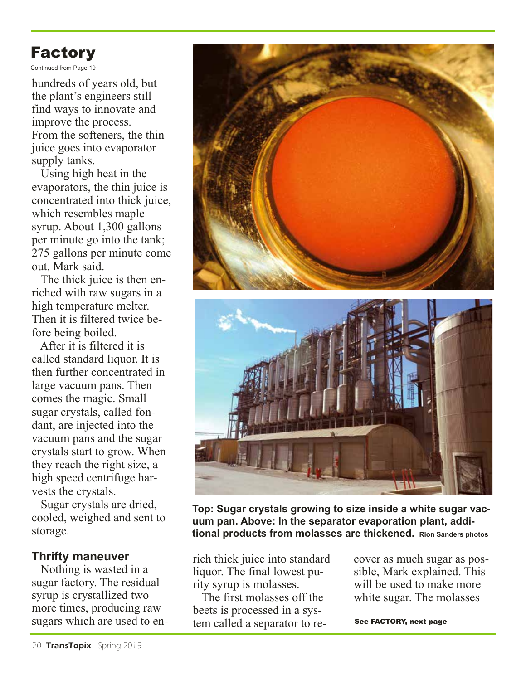### Factory

Continued from Page 19

hundreds of years old, but the plant's engineers still find ways to innovate and improve the process. From the softeners, the thin juice goes into evaporator supply tanks.

Using high heat in the evaporators, the thin juice is concentrated into thick juice, which resembles maple syrup. About 1,300 gallons per minute go into the tank; 275 gallons per minute come out, Mark said.

The thick juice is then enriched with raw sugars in a high temperature melter. Then it is filtered twice before being boiled.

After it is filtered it is called standard liquor. It is then further concentrated in large vacuum pans. Then comes the magic. Small sugar crystals, called fondant, are injected into the vacuum pans and the sugar crystals start to grow. When they reach the right size, a high speed centrifuge harvests the crystals.

Sugar crystals are dried, cooled, weighed and sent to storage.

#### **Thrifty maneuver**

Nothing is wasted in a sugar factory. The residual syrup is crystallized two more times, producing raw sugars which are used to en-





**Top: Sugar crystals growing to size inside a white sugar vacuum pan. Above: In the separator evaporation plant, additional products from molasses are thickened. Rion Sanders photos**

rich thick juice into standard liquor. The final lowest purity syrup is molasses.

The first molasses off the beets is processed in a system called a separator to recover as much sugar as possible, Mark explained. This will be used to make more white sugar. The molasses

See FACTORY, next page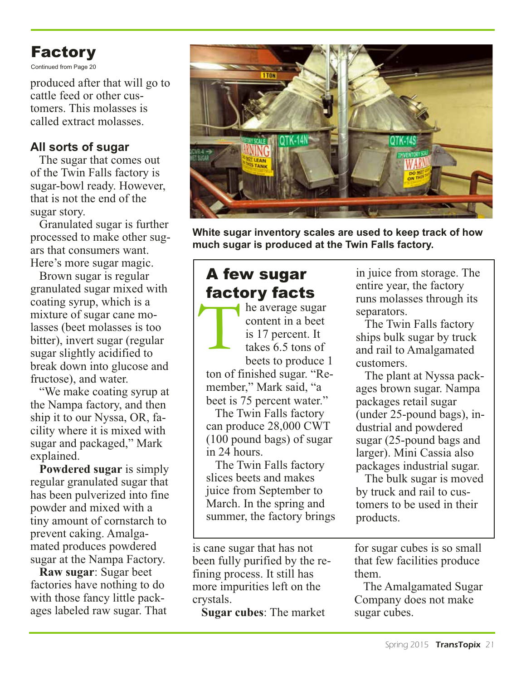### Factory

Continued from Page 20

produced after that will go to cattle feed or other customers. This molasses is called extract molasses.

#### **All sorts of sugar**

The sugar that comes out of the Twin Falls factory is sugar-bowl ready. However, that is not the end of the sugar story.

Granulated sugar is further processed to make other sugars that consumers want. Here's more sugar magic.

Brown sugar is regular granulated sugar mixed with coating syrup, which is a mixture of sugar cane molasses (beet molasses is too bitter), invert sugar (regular sugar slightly acidified to break down into glucose and fructose), and water.

"We make coating syrup at the Nampa factory, and then ship it to our Nyssa, OR, facility where it is mixed with sugar and packaged," Mark explained.

**Powdered sugar** is simply regular granulated sugar that has been pulverized into fine powder and mixed with a tiny amount of cornstarch to prevent caking. Amalgamated produces powdered sugar at the Nampa Factory.

**Raw sugar**: Sugar beet factories have nothing to do with those fancy little packages labeled raw sugar. That



**White sugar inventory scales are used to keep track of how much sugar is produced at the Twin Falls factory.**

### A few sugar factory facts

he average sugar content in a beet is 17 percent. It takes 6.5 tons of beets to produce 1 ton of finished sugar. "Re-T

member," Mark said, "a beet is 75 percent water."

The Twin Falls factory can produce 28,000 CWT (100 pound bags) of sugar in 24 hours.

 The Twin Falls factory slices beets and makes juice from September to March. In the spring and summer, the factory brings

is cane sugar that has not been fully purified by the refining process. It still has more impurities left on the crystals.

**Sugar cubes**: The market

in juice from storage. The entire year, the factory runs molasses through its separators.

The Twin Falls factory ships bulk sugar by truck and rail to Amalgamated customers.

The plant at Nyssa packages brown sugar. Nampa packages retail sugar (under 25-pound bags), industrial and powdered sugar (25-pound bags and larger). Mini Cassia also packages industrial sugar.

The bulk sugar is moved by truck and rail to customers to be used in their products.

for sugar cubes is so small that few facilities produce them.

The Amalgamated Sugar Company does not make sugar cubes.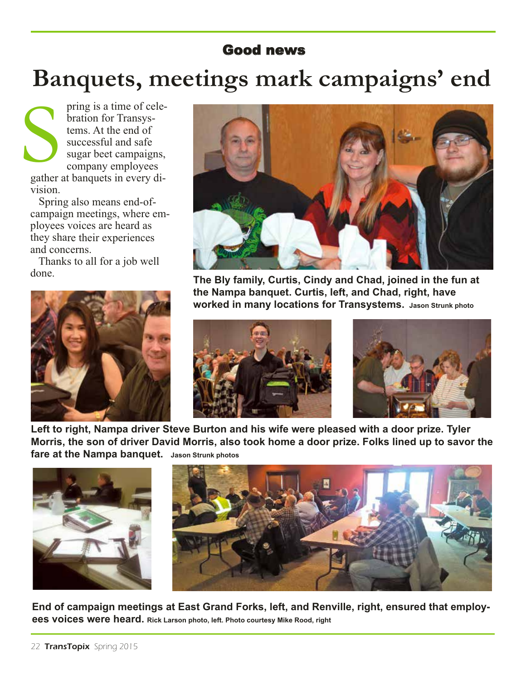#### Good news

# **Banquets, meetings mark campaigns' end**

pring is <sup>a</sup> time of celebration for Transystems. At the end of successful and safe sugar beet campaigns, company employees gather at banquets in every division. Supplier<br>
Supplier

Spring also means end-ofcampaign meetings, where employees voices are heard as they share their experiences and concerns.

Thanks to all for <sup>a</sup> job well done.





**The Bly family, Curtis, Cindy and Chad, joined in the fun at the Nampa banquet. Curtis, left, and Chad, right, have worked in many locations for Transystems. Jason Strunk photo**





**Left to right, Nampa driver Steve Burton and his wife were pleased with a door prize. Tyler**  Morris, the son of driver David Morris, also took home a door prize. Folks lined up to savor the **fare at the Nampa banquet. Jason Strunk photos**





**End of campaign meetings at East Grand Forks, left, and Renville, right, ensured that employees voices were heard. Rick Larson photo, left. Photo courtesy Mike Rood, right**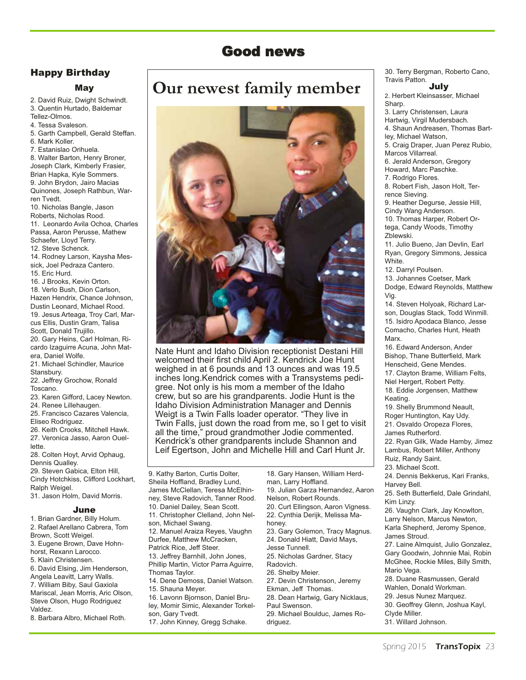#### Good news

#### Happy Birthday

#### May

2. David Ruiz, Dwight Schwindt. 3. Quentin Hurtado, Baldemar Tellez-Olmos. 4. Tessa Svaleson. 5. Garth Campbell, Gerald Steffan. 6. Mark Koller. 7. Estanislao Orihuela. 8. Walter Barton, Henry Broner, Joseph Clark, Kimberly Frasier, Brian Hapka, Kyle Sommers. 9. John Brydon, Jairo Macias Quinones, Joseph Rathbun, Warren Tvedt. 10. Nicholas Bangle, Jason Roberts, Nicholas Rood.

11. Leonardo Avila Ochoa, Charles Passa, Aaron Perusse, Mathew Schaefer, Lloyd Terry.

12. Steve Schenck.

14. Rodney Larson, Kaysha Messick, Joel Pedraza Cantero. 15. Eric Hurd.

16. J Brooks, Kevin Orton. 18. Verlo Bush, Dion Carlson, Hazen Hendrix, Chance Johnson, Dustin Leonard, Michael Rood. 19. Jesus Arteaga, Troy Carl, Marcus Ellis, Dustin Gram, Talisa Scott, Donald Trujillo. 20. Gary Heins, Carl Holman, Ri-

cardo Izaguirre Acuna, John Matera, Daniel Wolfe.

21. Michael Schindler, Maurice Stansbury.

22. Jeffrey Grochow, Ronald Toscano.

23. Karen Gifford, Lacey Newton. 24. Renee Lillehaugen.

25. Francisco Cazares Valencia, Eliseo Rodriguez.

26. Keith Crooks, Mitchell Hawk. 27. Veronica Jasso, Aaron Ouellette.

28. Colten Hoyt, Arvid Ophaug, Dennis Qualley. 29. Steven Gabica, Elton Hill, Cindy Hotchkiss, Clifford Lockhart, Ralph Weigel.

31. Jason Holm, David Morris.

#### June

1. Brian Gardner, Billy Holum. 2. Rafael Arellano Cabrera, Tom Brown, Scott Weigel. 3. Eugene Brown, Dave Hohnhorst, Rexann Larocco. 5. Klain Christensen. 6. David Elsing, Jim Henderson, Angela Leavitt, Larry Walls. 7. William Biby, Saul Gaxiola Mariscal, Jean Morris, Aric Olson, Steve Olson, Hugo Rodriguez Valdez.

8. Barbara Albro, Michael Roth.

### **Our newest family member**



Nate Hunt and Idaho Division receptionist Destani Hill welcomed their first child April 2. Kendrick Joe Hunt weighed in at 6 pounds and 13 ounces and was 19.5 inches long.Kendrick comes with a Transystems pedigree. Not only is his mom a member of the Idaho crew, but so are his grandparents. Jodie Hunt is the Idaho Division Administration Manager and Dennis Weigt is a Twin Falls loader operator. "They live in Twin Falls, just down the road from me, so I get to visit all the time," proud grandmother Jodie commented. Kendrick's other grandparents include Shannon and Leif Egertson, John and Michelle Hill and Carl Hunt Jr.

9. Kathy Barton, Curtis Dolter, Sheila Hoffland, Bradley Lund, James McClellan, Teresa McElhinney, Steve Radovich, Tanner Rood. 10. Daniel Dailey, Sean Scott. 11. Christopher Clelland, John Nelson, Michael Swang. 12. Manuel Araiza Reyes, Vaughn Durfee, Matthew McCracken, Patrick Rice, Jeff Steer. 13. Jeffrey Barnhill, John Jones, Phillip Martin, Victor Parra Aguirre, Thomas Taylor. 14. Dene Demoss, Daniel Watson. 15. Shauna Meyer. 16. Lavonn Bjornson, Daniel Bruley, Momir Simic, Alexander Torkelson, Gary Tvedt.

17. John Kinney, Gregg Schake.

18. Gary Hansen, William Herdman, Larry Hoffland. 19. Julian Garza Hernandez, Aaron Nelson, Robert Rounds. 20. Curt Ellingson, Aaron Vigness. 22. Cynthia Derijk, Melissa Mahoney. 23. Gary Golemon, Tracy Magnus. 24. Donald Hiatt, David Mays, Jesse Tunnell. 25. Nicholas Gardner, Stacy Radovich. 26. Shelby Meier. 27. Devin Christenson, Jeremy Ekman, Jeff Thomas. 28. Dean Hartwig, Gary Nicklaus, Paul Swenson.

29. Michael Boulduc, James Rodriguez.

30. Terry Bergman, Roberto Cano, Travis Patton. July

2. Herbert Kleinsasser, Michael Sharp.

3. Larry Christensen, Laura Hartwig, Virgil Mudersbach. 4. Shaun Andreasen, Thomas Bartley, Michael Watson, 5. Craig Draper, Juan Perez Rubio, Marcos Villarreal. 6. Jerald Anderson, Gregory Howard, Marc Paschke. 7. Rodrigo Flores. 8. Robert Fish, Jason Holt, Terrence Sieving. 9. Heather Degurse, Jessie Hill, Cindy Wang Anderson. 10. Thomas Harper, Robert Ortega, Candy Woods, Timothy Zblewski. 11. Julio Bueno, Jan Devlin, Earl Ryan, Gregory Simmons, Jessica White. 12. Darryl Poulsen. 13. Johannes Coetser, Mark Dodge, Edward Reynolds, Matthew Vig. 14. Steven Holyoak, Richard Larson, Douglas Stack, Todd Winmill. 15. Isidro Apodaca Blanco, Jesse Comacho, Charles Hunt, Heath **Marx** 16. Edward Anderson, Ander Bishop, Thane Butterfield, Mark Henscheid, Gene Mendes. 17. Clayton Brame, William Felts, Niel Hergert, Robert Petty. 18. Eddie Jorgensen, Matthew Keating. 19. Shelly Brummond Neault, Roger Huntington, Kay Udy. 21. Osvaldo Oropeza Flores, James Rutherford. 22. Ryan Gilk, Wade Hamby, Jimez Lambus, Robert Miller, Anthony Ruiz, Randy Saint. 23. Michael Scott. 24. Dennis Bekkerus, Kari Franks, Harvey Bell. 25. Seth Butterfield, Dale Grindahl, Kim Linzy. 26. Vaughn Clark, Jay Knowlton, Larry Nelson, Marcus Newton, Karla Shepherd, Jeromy Spence, James Stroud. 27. Laine Almquist, Julio Gonzalez, Gary Goodwin, Johnnie Mai, Robin McGhee, Rockie Miles, Billy Smith, Mario Vega. 28. Duane Rasmussen, Gerald Wahlen, Donald Workman. 29. Jesus Nunez Marquez. 30. Geoffrey Glenn, Joshua Kayl, Clyde Miller. 31. Willard Johnson.